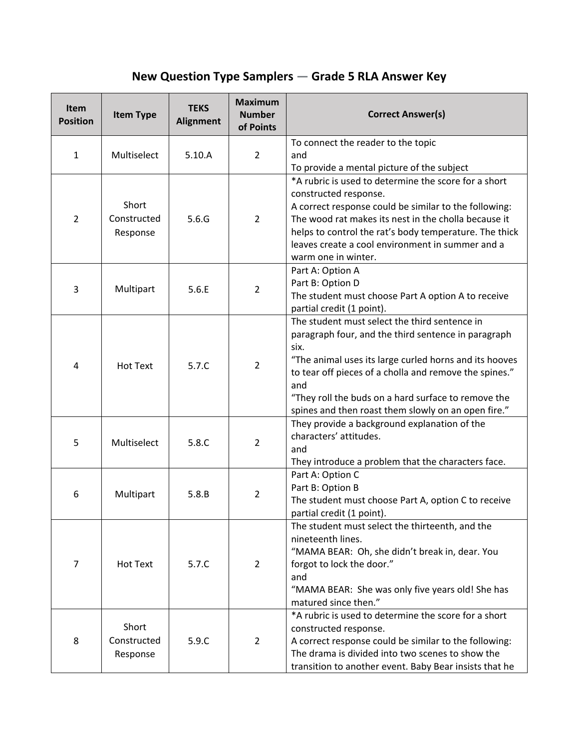## **New Question Type Samplers — Grade 5 RLA Answer Key**

| Item<br><b>Position</b> | <b>Item Type</b>                 | <b>TEKS</b><br><b>Alignment</b> | <b>Maximum</b><br><b>Number</b><br>of Points | <b>Correct Answer(s)</b>                                                                                                                                                                                                                                                                                                                              |
|-------------------------|----------------------------------|---------------------------------|----------------------------------------------|-------------------------------------------------------------------------------------------------------------------------------------------------------------------------------------------------------------------------------------------------------------------------------------------------------------------------------------------------------|
| $\mathbf{1}$            | Multiselect                      | 5.10.A                          | $\overline{2}$                               | To connect the reader to the topic<br>and<br>To provide a mental picture of the subject                                                                                                                                                                                                                                                               |
| $\overline{2}$          | Short<br>Constructed<br>Response | 5.6.G                           | $\overline{2}$                               | *A rubric is used to determine the score for a short<br>constructed response.<br>A correct response could be similar to the following:<br>The wood rat makes its nest in the cholla because it<br>helps to control the rat's body temperature. The thick<br>leaves create a cool environment in summer and a<br>warm one in winter.                   |
| 3                       | Multipart                        | 5.6.E                           | $\overline{2}$                               | Part A: Option A<br>Part B: Option D<br>The student must choose Part A option A to receive<br>partial credit (1 point).                                                                                                                                                                                                                               |
| 4                       | <b>Hot Text</b>                  | 5.7.C                           | $\overline{2}$                               | The student must select the third sentence in<br>paragraph four, and the third sentence in paragraph<br>six.<br>"The animal uses its large curled horns and its hooves<br>to tear off pieces of a cholla and remove the spines."<br>and<br>"They roll the buds on a hard surface to remove the<br>spines and then roast them slowly on an open fire." |
| 5                       | Multiselect                      | 5.8.C                           | $\overline{2}$                               | They provide a background explanation of the<br>characters' attitudes.<br>and<br>They introduce a problem that the characters face.                                                                                                                                                                                                                   |
| 6                       | Multipart                        | 5.8.B                           | $\overline{2}$                               | Part A: Option C<br>Part B: Option B<br>The student must choose Part A, option C to receive<br>partial credit (1 point).                                                                                                                                                                                                                              |
| 7                       | <b>Hot Text</b>                  | 5.7.C                           | $\overline{2}$                               | The student must select the thirteenth, and the<br>nineteenth lines.<br>"MAMA BEAR: Oh, she didn't break in, dear. You<br>forgot to lock the door."<br>and<br>"MAMA BEAR: She was only five years old! She has<br>matured since then."                                                                                                                |
| 8                       | Short<br>Constructed<br>Response | 5.9.C                           | $\overline{2}$                               | *A rubric is used to determine the score for a short<br>constructed response.<br>A correct response could be similar to the following:<br>The drama is divided into two scenes to show the<br>transition to another event. Baby Bear insists that he                                                                                                  |